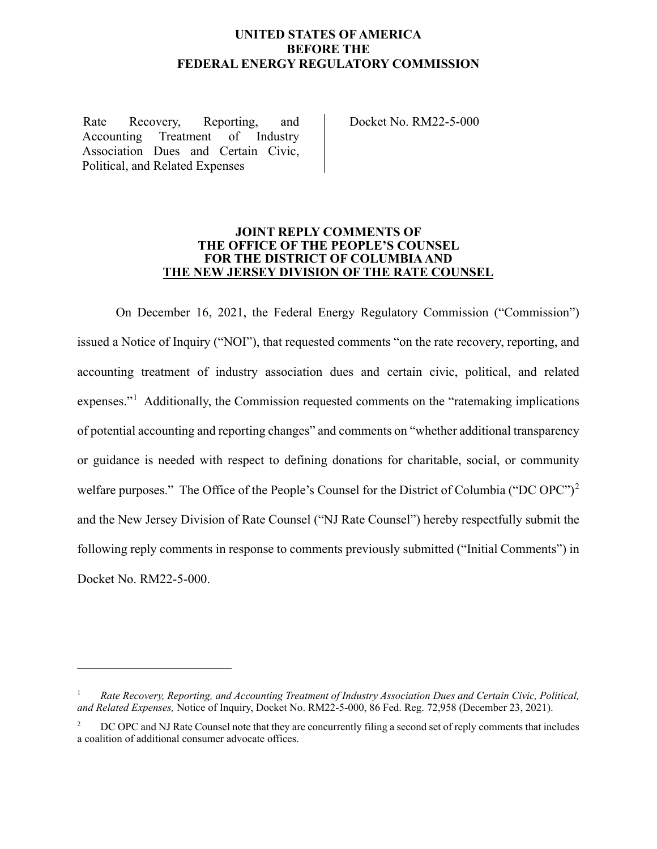## **UNITED STATES OF AMERICA BEFORE THE FEDERAL ENERGY REGULATORY COMMISSION**

Rate Recovery, Reporting, and Accounting Treatment of Industry Association Dues and Certain Civic, Political, and Related Expenses

Docket No. RM22-5-000

#### **JOINT REPLY COMMENTS OF THE OFFICE OF THE PEOPLE'S COUNSEL FOR THE DISTRICT OF COLUMBIA AND THE NEW JERSEY DIVISION OF THE RATE COUNSEL**

On December 16, 2021, the Federal Energy Regulatory Commission ("Commission") issued a Notice of Inquiry ("NOI"), that requested comments "on the rate recovery, reporting, and accounting treatment of industry association dues and certain civic, political, and related expenses."<sup>[1](#page-0-0)</sup> Additionally, the Commission requested comments on the "ratemaking implications of potential accounting and reporting changes" and comments on "whether additional transparency or guidance is needed with respect to defining donations for charitable, social, or community welfare purposes." The Office of the People's Counsel for the District of Columbia ("DC OPC")<sup>[2](#page-0-1)</sup> and the New Jersey Division of Rate Counsel ("NJ Rate Counsel") hereby respectfully submit the following reply comments in response to comments previously submitted ("Initial Comments") in Docket No. RM22-5-000.

<span id="page-0-0"></span><sup>1</sup> *Rate Recovery, Reporting, and Accounting Treatment of Industry Association Dues and Certain Civic, Political, and Related Expenses,* Notice of Inquiry, Docket No. RM22-5-000, 86 Fed. Reg. 72,958 (December 23, 2021).

<span id="page-0-1"></span><sup>&</sup>lt;sup>2</sup> DC OPC and NJ Rate Counsel note that they are concurrently filing a second set of reply comments that includes a coalition of additional consumer advocate offices.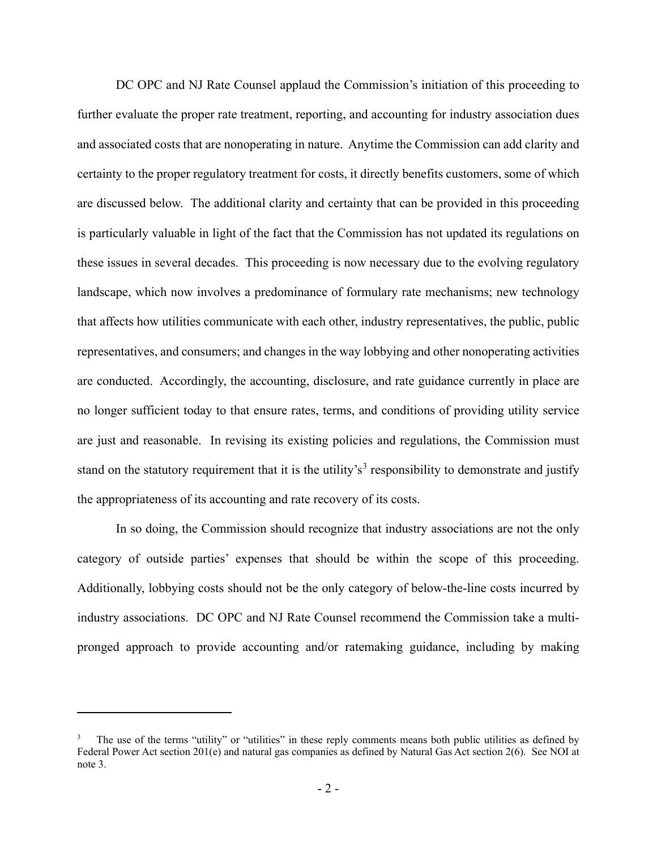DC OPC and NJ Rate Counsel applaud the Commission's initiation of this proceeding to further evaluate the proper rate treatment, reporting, and accounting for industry association dues and associated costs that are nonoperating in nature. Anytime the Commission can add clarity and certainty to the proper regulatory treatment for costs, it directly benefits customers, some of which are discussed below. The additional clarity and certainty that can be provided in this proceeding is particularly valuable in light of the fact that the Commission has not updated its regulations on these issues in several decades. This proceeding is now necessary due to the evolving regulatory landscape, which now involves a predominance of formulary rate mechanisms; new technology that affects how utilities communicate with each other, industry representatives, the public, public representatives, and consumers; and changes in the way lobbying and other nonoperating activities are conducted. Accordingly, the accounting, disclosure, and rate guidance currently in place are no longer sufficient today to that ensure rates, terms, and conditions of providing utility service are just and reasonable. In revising its existing policies and regulations, the Commission must stand on the statutory requirement that it is the utility's<sup>[3](#page-1-0)</sup> responsibility to demonstrate and justify the appropriateness of its accounting and rate recovery of its costs.

In so doing, the Commission should recognize that industry associations are not the only category of outside parties' expenses that should be within the scope of this proceeding. Additionally, lobbying costs should not be the only category of below-the-line costs incurred by industry associations. DC OPC and NJ Rate Counsel recommend the Commission take a multipronged approach to provide accounting and/or ratemaking guidance, including by making

<span id="page-1-0"></span>The use of the terms "utility" or "utilities" in these reply comments means both public utilities as defined by Federal Power Act section 201(e) and natural gas companies as defined by Natural Gas Act section 2(6). See NOI at note 3.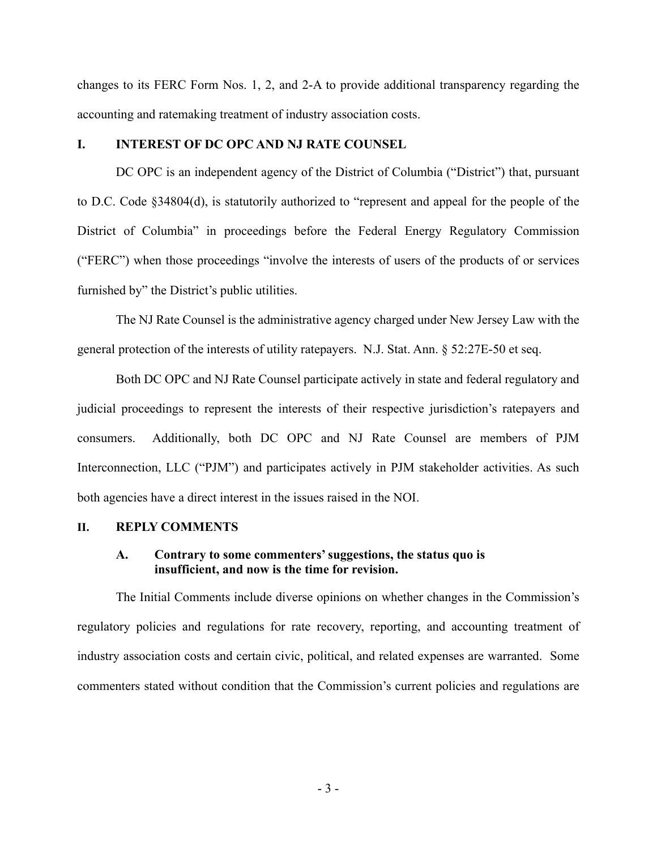changes to its FERC Form Nos. 1, 2, and 2-A to provide additional transparency regarding the accounting and ratemaking treatment of industry association costs.

# **I. INTEREST OF DC OPC AND NJ RATE COUNSEL**

DC OPC is an independent agency of the District of Columbia ("District") that, pursuant to D.C. Code §34804(d), is statutorily authorized to "represent and appeal for the people of the District of Columbia" in proceedings before the Federal Energy Regulatory Commission ("FERC") when those proceedings "involve the interests of users of the products of or services furnished by" the District's public utilities.

The NJ Rate Counsel is the administrative agency charged under New Jersey Law with the general protection of the interests of utility ratepayers. N.J. Stat. Ann. § 52:27E-50 et seq.

Both DC OPC and NJ Rate Counsel participate actively in state and federal regulatory and judicial proceedings to represent the interests of their respective jurisdiction's ratepayers and consumers. Additionally, both DC OPC and NJ Rate Counsel are members of PJM Interconnection, LLC ("PJM") and participates actively in PJM stakeholder activities. As such both agencies have a direct interest in the issues raised in the NOI.

#### **II. REPLY COMMENTS**

## **A. Contrary to some commenters' suggestions, the status quo is insufficient, and now is the time for revision.**

The Initial Comments include diverse opinions on whether changes in the Commission's regulatory policies and regulations for rate recovery, reporting, and accounting treatment of industry association costs and certain civic, political, and related expenses are warranted. Some commenters stated without condition that the Commission's current policies and regulations are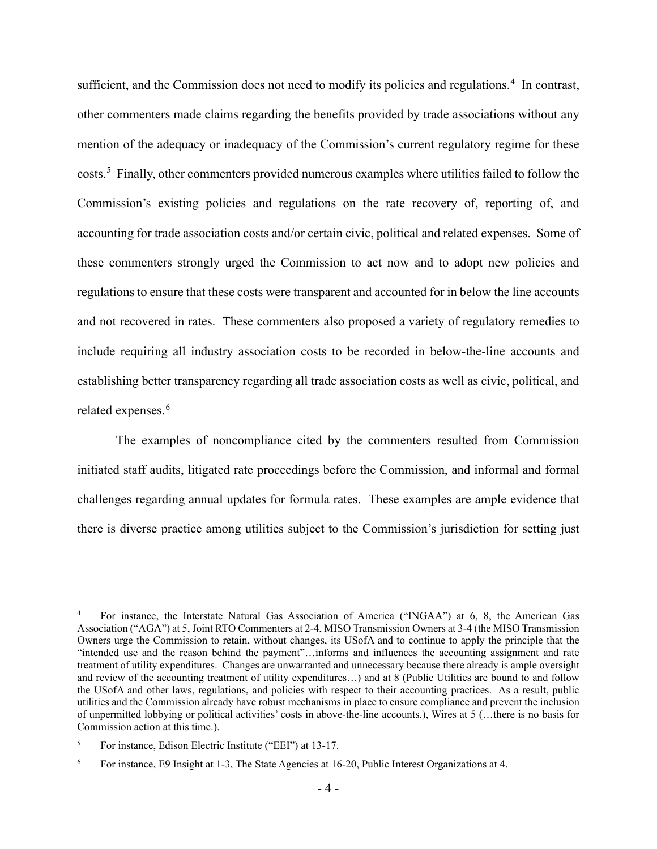sufficient, and the Commission does not need to modify its policies and regulations.<sup>[4](#page-3-0)</sup> In contrast, other commenters made claims regarding the benefits provided by trade associations without any mention of the adequacy or inadequacy of the Commission's current regulatory regime for these costs.<sup>[5](#page-3-1)</sup> Finally, other commenters provided numerous examples where utilities failed to follow the Commission's existing policies and regulations on the rate recovery of, reporting of, and accounting for trade association costs and/or certain civic, political and related expenses. Some of these commenters strongly urged the Commission to act now and to adopt new policies and regulations to ensure that these costs were transparent and accounted for in below the line accounts and not recovered in rates. These commenters also proposed a variety of regulatory remedies to include requiring all industry association costs to be recorded in below-the-line accounts and establishing better transparency regarding all trade association costs as well as civic, political, and related expenses.<sup>[6](#page-3-2)</sup>

The examples of noncompliance cited by the commenters resulted from Commission initiated staff audits, litigated rate proceedings before the Commission, and informal and formal challenges regarding annual updates for formula rates. These examples are ample evidence that there is diverse practice among utilities subject to the Commission's jurisdiction for setting just

<span id="page-3-0"></span><sup>4</sup> For instance, the Interstate Natural Gas Association of America ("INGAA") at 6, 8, the American Gas Association ("AGA") at 5, Joint RTO Commenters at 2-4, MISO Transmission Owners at 3-4 (the MISO Transmission Owners urge the Commission to retain, without changes, its USofA and to continue to apply the principle that the "intended use and the reason behind the payment"…informs and influences the accounting assignment and rate treatment of utility expenditures. Changes are unwarranted and unnecessary because there already is ample oversight and review of the accounting treatment of utility expenditures…) and at 8 (Public Utilities are bound to and follow the USofA and other laws, regulations, and policies with respect to their accounting practices. As a result, public utilities and the Commission already have robust mechanisms in place to ensure compliance and prevent the inclusion of unpermitted lobbying or political activities' costs in above-the-line accounts.), Wires at 5 (…there is no basis for Commission action at this time.).

<span id="page-3-1"></span><sup>5</sup> For instance, Edison Electric Institute ("EEI") at 13-17.

<span id="page-3-2"></span><sup>6</sup> For instance, E9 Insight at 1-3, The State Agencies at 16-20, Public Interest Organizations at 4.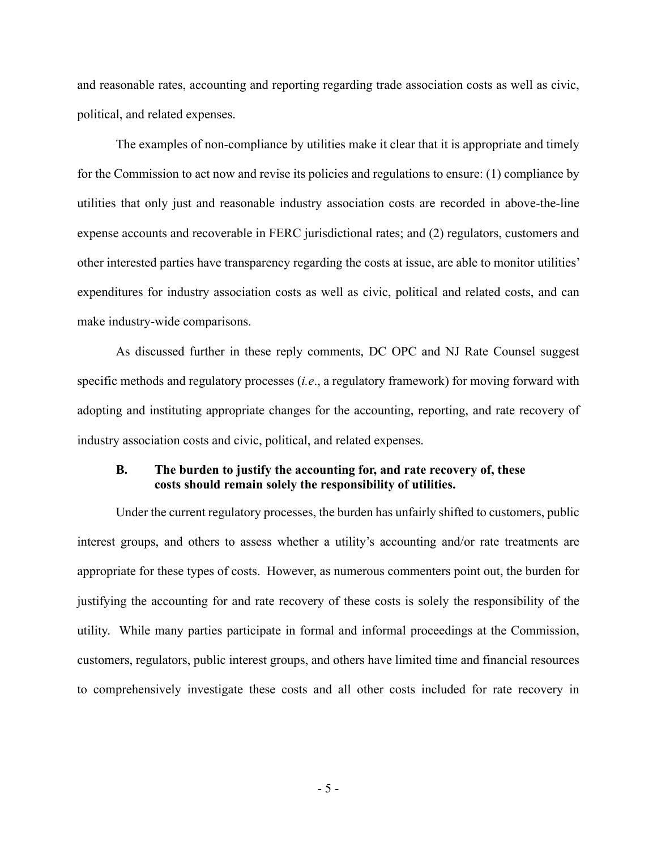and reasonable rates, accounting and reporting regarding trade association costs as well as civic, political, and related expenses.

The examples of non-compliance by utilities make it clear that it is appropriate and timely for the Commission to act now and revise its policies and regulations to ensure: (1) compliance by utilities that only just and reasonable industry association costs are recorded in above-the-line expense accounts and recoverable in FERC jurisdictional rates; and (2) regulators, customers and other interested parties have transparency regarding the costs at issue, are able to monitor utilities' expenditures for industry association costs as well as civic, political and related costs, and can make industry-wide comparisons.

As discussed further in these reply comments, DC OPC and NJ Rate Counsel suggest specific methods and regulatory processes (*i.e*., a regulatory framework) for moving forward with adopting and instituting appropriate changes for the accounting, reporting, and rate recovery of industry association costs and civic, political, and related expenses.

## **B. The burden to justify the accounting for, and rate recovery of, these costs should remain solely the responsibility of utilities.**

Under the current regulatory processes, the burden has unfairly shifted to customers, public interest groups, and others to assess whether a utility's accounting and/or rate treatments are appropriate for these types of costs. However, as numerous commenters point out, the burden for justifying the accounting for and rate recovery of these costs is solely the responsibility of the utility. While many parties participate in formal and informal proceedings at the Commission, customers, regulators, public interest groups, and others have limited time and financial resources to comprehensively investigate these costs and all other costs included for rate recovery in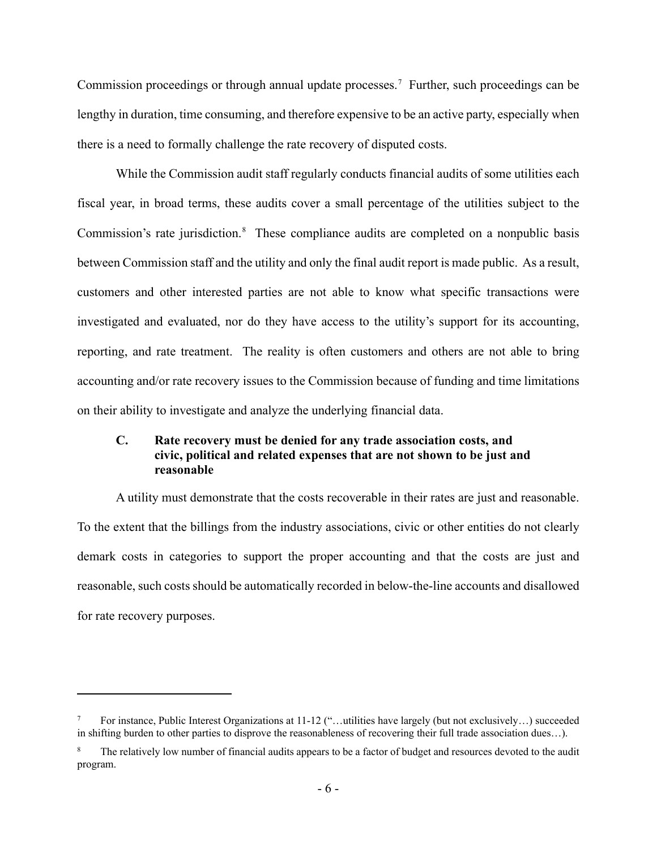Commission proceedings or through annual update processes.<sup>[7](#page-5-0)</sup> Further, such proceedings can be lengthy in duration, time consuming, and therefore expensive to be an active party, especially when there is a need to formally challenge the rate recovery of disputed costs.

While the Commission audit staff regularly conducts financial audits of some utilities each fiscal year, in broad terms, these audits cover a small percentage of the utilities subject to the Commission's rate jurisdiction.<sup>[8](#page-5-1)</sup> These compliance audits are completed on a nonpublic basis between Commission staff and the utility and only the final audit report is made public. As a result, customers and other interested parties are not able to know what specific transactions were investigated and evaluated, nor do they have access to the utility's support for its accounting, reporting, and rate treatment. The reality is often customers and others are not able to bring accounting and/or rate recovery issues to the Commission because of funding and time limitations on their ability to investigate and analyze the underlying financial data.

# **C. Rate recovery must be denied for any trade association costs, and civic, political and related expenses that are not shown to be just and reasonable**

A utility must demonstrate that the costs recoverable in their rates are just and reasonable. To the extent that the billings from the industry associations, civic or other entities do not clearly demark costs in categories to support the proper accounting and that the costs are just and reasonable, such costs should be automatically recorded in below-the-line accounts and disallowed for rate recovery purposes.

<span id="page-5-0"></span><sup>7</sup> For instance, Public Interest Organizations at 11-12 ("…utilities have largely (but not exclusively…) succeeded in shifting burden to other parties to disprove the reasonableness of recovering their full trade association dues…).

<span id="page-5-1"></span>The relatively low number of financial audits appears to be a factor of budget and resources devoted to the audit program.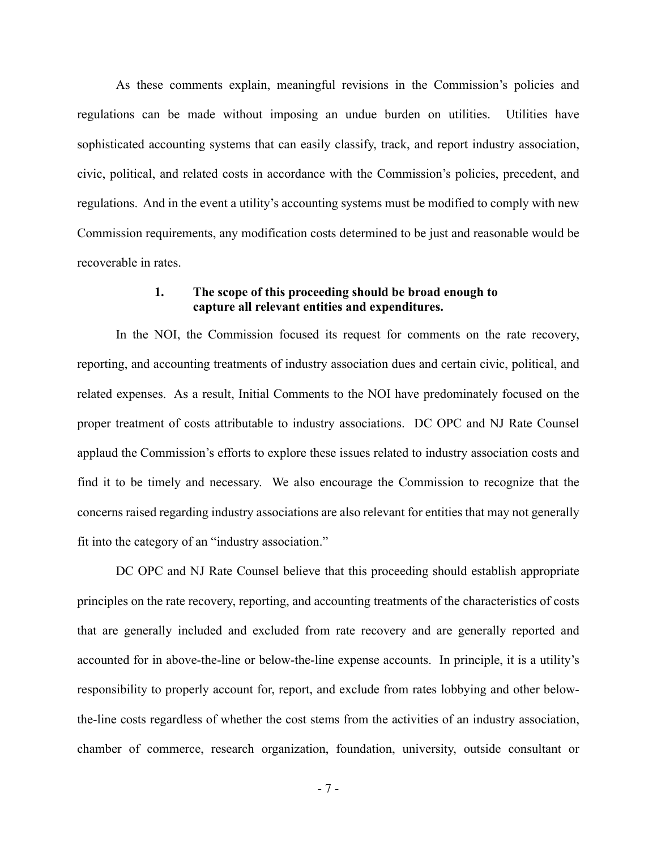As these comments explain, meaningful revisions in the Commission's policies and regulations can be made without imposing an undue burden on utilities. Utilities have sophisticated accounting systems that can easily classify, track, and report industry association, civic, political, and related costs in accordance with the Commission's policies, precedent, and regulations. And in the event a utility's accounting systems must be modified to comply with new Commission requirements, any modification costs determined to be just and reasonable would be recoverable in rates.

#### **1. The scope of this proceeding should be broad enough to capture all relevant entities and expenditures.**

In the NOI, the Commission focused its request for comments on the rate recovery, reporting, and accounting treatments of industry association dues and certain civic, political, and related expenses. As a result, Initial Comments to the NOI have predominately focused on the proper treatment of costs attributable to industry associations. DC OPC and NJ Rate Counsel applaud the Commission's efforts to explore these issues related to industry association costs and find it to be timely and necessary. We also encourage the Commission to recognize that the concerns raised regarding industry associations are also relevant for entities that may not generally fit into the category of an "industry association."

DC OPC and NJ Rate Counsel believe that this proceeding should establish appropriate principles on the rate recovery, reporting, and accounting treatments of the characteristics of costs that are generally included and excluded from rate recovery and are generally reported and accounted for in above-the-line or below-the-line expense accounts. In principle, it is a utility's responsibility to properly account for, report, and exclude from rates lobbying and other belowthe-line costs regardless of whether the cost stems from the activities of an industry association, chamber of commerce, research organization, foundation, university, outside consultant or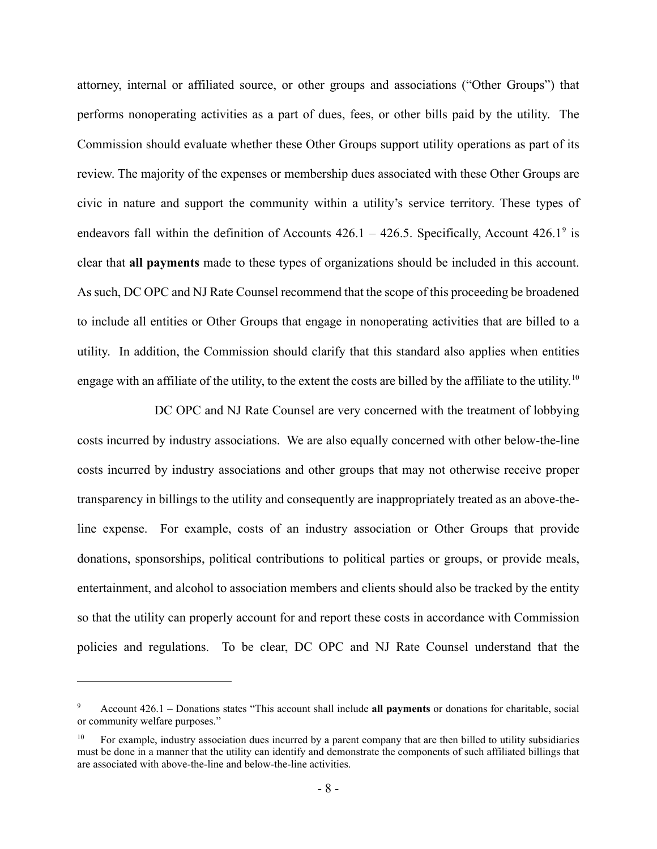attorney, internal or affiliated source, or other groups and associations ("Other Groups") that performs nonoperating activities as a part of dues, fees, or other bills paid by the utility. The Commission should evaluate whether these Other Groups support utility operations as part of its review. The majority of the expenses or membership dues associated with these Other Groups are civic in nature and support the community within a utility's service territory. These types of endeavors fall within the definition of Accounts  $426.1 - 426.5$ . Specifically, Account  $426.1^9$  $426.1^9$  is clear that **all payments** made to these types of organizations should be included in this account. As such, DC OPC and NJ Rate Counsel recommend that the scope of this proceeding be broadened to include all entities or Other Groups that engage in nonoperating activities that are billed to a utility. In addition, the Commission should clarify that this standard also applies when entities engage with an affiliate of the utility, to the extent the costs are billed by the affiliate to the utility.<sup>[10](#page-7-1)</sup>

DC OPC and NJ Rate Counsel are very concerned with the treatment of lobbying costs incurred by industry associations. We are also equally concerned with other below-the-line costs incurred by industry associations and other groups that may not otherwise receive proper transparency in billings to the utility and consequently are inappropriately treated as an above-theline expense. For example, costs of an industry association or Other Groups that provide donations, sponsorships, political contributions to political parties or groups, or provide meals, entertainment, and alcohol to association members and clients should also be tracked by the entity so that the utility can properly account for and report these costs in accordance with Commission policies and regulations. To be clear, DC OPC and NJ Rate Counsel understand that the

<span id="page-7-0"></span><sup>9</sup> Account 426.1 – Donations states "This account shall include **all payments** or donations for charitable, social or community welfare purposes."

<span id="page-7-1"></span><sup>10</sup> For example, industry association dues incurred by a parent company that are then billed to utility subsidiaries must be done in a manner that the utility can identify and demonstrate the components of such affiliated billings that are associated with above-the-line and below-the-line activities.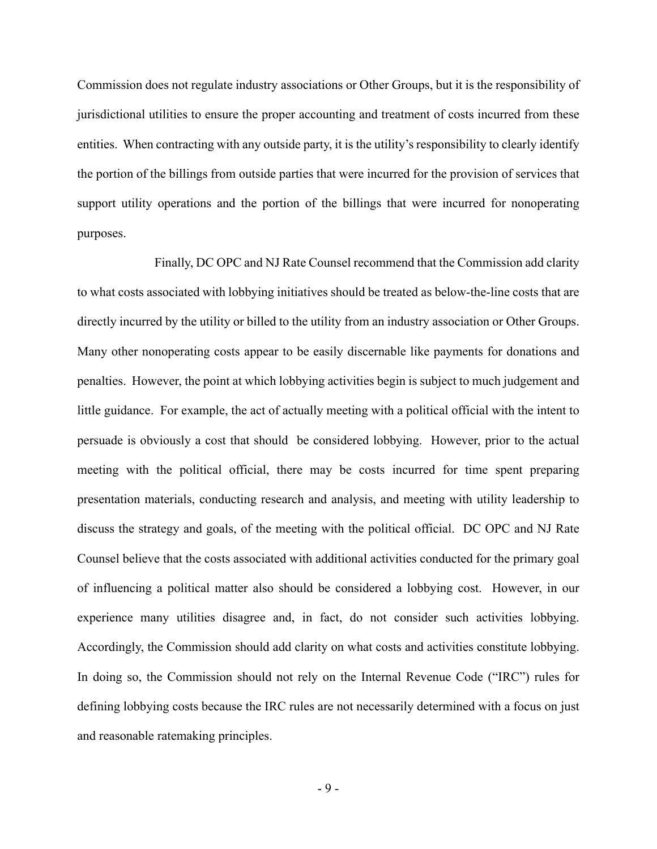Commission does not regulate industry associations or Other Groups, but it is the responsibility of jurisdictional utilities to ensure the proper accounting and treatment of costs incurred from these entities. When contracting with any outside party, it is the utility's responsibility to clearly identify the portion of the billings from outside parties that were incurred for the provision of services that support utility operations and the portion of the billings that were incurred for nonoperating purposes.

Finally, DC OPC and NJ Rate Counsel recommend that the Commission add clarity to what costs associated with lobbying initiatives should be treated as below-the-line costs that are directly incurred by the utility or billed to the utility from an industry association or Other Groups. Many other nonoperating costs appear to be easily discernable like payments for donations and penalties. However, the point at which lobbying activities begin is subject to much judgement and little guidance. For example, the act of actually meeting with a political official with the intent to persuade is obviously a cost that should be considered lobbying. However, prior to the actual meeting with the political official, there may be costs incurred for time spent preparing presentation materials, conducting research and analysis, and meeting with utility leadership to discuss the strategy and goals, of the meeting with the political official. DC OPC and NJ Rate Counsel believe that the costs associated with additional activities conducted for the primary goal of influencing a political matter also should be considered a lobbying cost. However, in our experience many utilities disagree and, in fact, do not consider such activities lobbying. Accordingly, the Commission should add clarity on what costs and activities constitute lobbying. In doing so, the Commission should not rely on the Internal Revenue Code ("IRC") rules for defining lobbying costs because the IRC rules are not necessarily determined with a focus on just and reasonable ratemaking principles.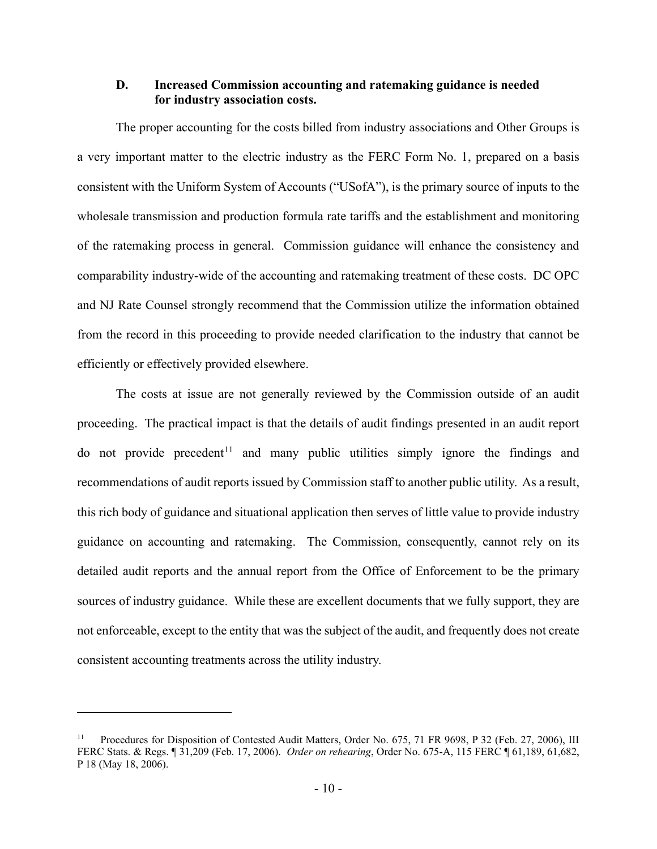## **D. Increased Commission accounting and ratemaking guidance is needed for industry association costs.**

The proper accounting for the costs billed from industry associations and Other Groups is a very important matter to the electric industry as the FERC Form No. 1, prepared on a basis consistent with the Uniform System of Accounts ("USofA"), is the primary source of inputs to the wholesale transmission and production formula rate tariffs and the establishment and monitoring of the ratemaking process in general. Commission guidance will enhance the consistency and comparability industry-wide of the accounting and ratemaking treatment of these costs. DC OPC and NJ Rate Counsel strongly recommend that the Commission utilize the information obtained from the record in this proceeding to provide needed clarification to the industry that cannot be efficiently or effectively provided elsewhere.

The costs at issue are not generally reviewed by the Commission outside of an audit proceeding. The practical impact is that the details of audit findings presented in an audit report do not provide precedent<sup>[11](#page-9-0)</sup> and many public utilities simply ignore the findings and recommendations of audit reports issued by Commission staff to another public utility. As a result, this rich body of guidance and situational application then serves of little value to provide industry guidance on accounting and ratemaking. The Commission, consequently, cannot rely on its detailed audit reports and the annual report from the Office of Enforcement to be the primary sources of industry guidance. While these are excellent documents that we fully support, they are not enforceable, except to the entity that was the subject of the audit, and frequently does not create consistent accounting treatments across the utility industry.

<span id="page-9-0"></span><sup>11</sup> Procedures for Disposition of Contested Audit Matters, Order No. 675, 71 FR 9698, P 32 (Feb. 27, 2006), III FERC Stats. & Regs. ¶ 31,209 (Feb. 17, 2006). *Order on rehearing*, Order No. 675-A, 115 FERC ¶ 61,189, 61,682, P 18 (May 18, 2006).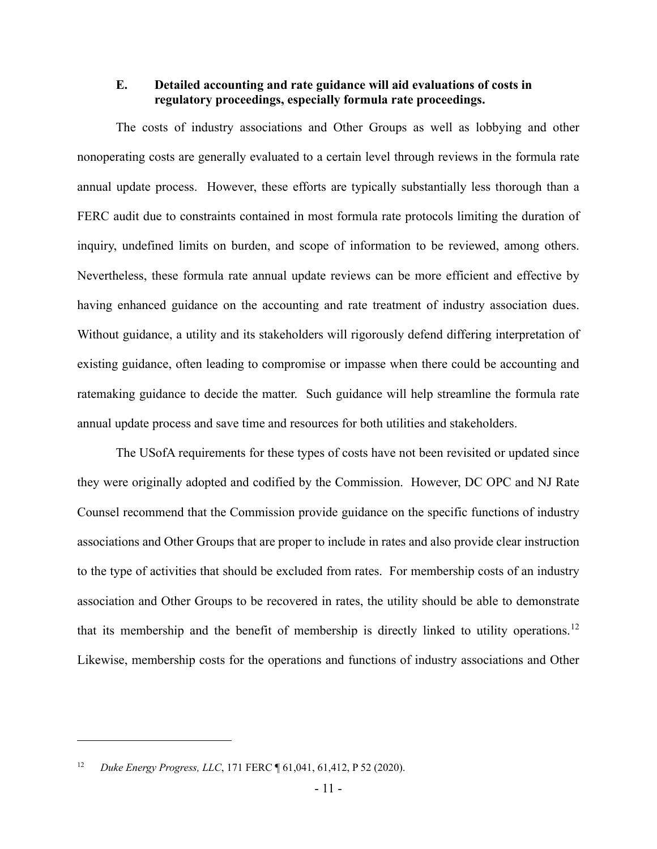# **E. Detailed accounting and rate guidance will aid evaluations of costs in regulatory proceedings, especially formula rate proceedings.**

The costs of industry associations and Other Groups as well as lobbying and other nonoperating costs are generally evaluated to a certain level through reviews in the formula rate annual update process. However, these efforts are typically substantially less thorough than a FERC audit due to constraints contained in most formula rate protocols limiting the duration of inquiry, undefined limits on burden, and scope of information to be reviewed, among others. Nevertheless, these formula rate annual update reviews can be more efficient and effective by having enhanced guidance on the accounting and rate treatment of industry association dues. Without guidance, a utility and its stakeholders will rigorously defend differing interpretation of existing guidance, often leading to compromise or impasse when there could be accounting and ratemaking guidance to decide the matter. Such guidance will help streamline the formula rate annual update process and save time and resources for both utilities and stakeholders.

The USofA requirements for these types of costs have not been revisited or updated since they were originally adopted and codified by the Commission. However, DC OPC and NJ Rate Counsel recommend that the Commission provide guidance on the specific functions of industry associations and Other Groups that are proper to include in rates and also provide clear instruction to the type of activities that should be excluded from rates. For membership costs of an industry association and Other Groups to be recovered in rates, the utility should be able to demonstrate that its membership and the benefit of membership is directly linked to utility operations.<sup>[12](#page-10-0)</sup> Likewise, membership costs for the operations and functions of industry associations and Other

<span id="page-10-0"></span><sup>12</sup> *Duke Energy Progress, LLC*, 171 FERC ¶ 61,041, 61,412, P 52 (2020).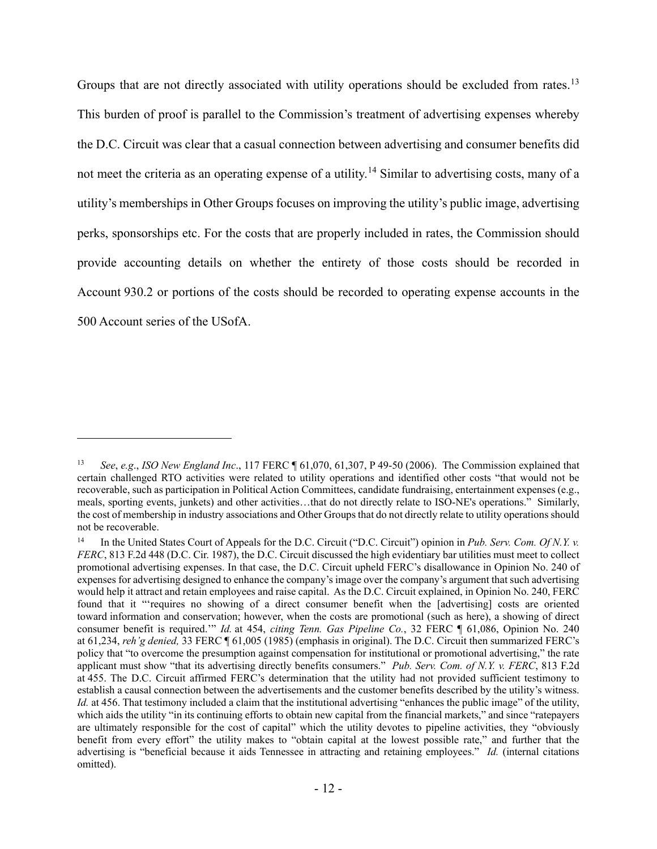Groups that are not directly associated with utility operations should be excluded from rates.<sup>[13](#page-11-0)</sup> This burden of proof is parallel to the Commission's treatment of advertising expenses whereby the D.C. Circuit was clear that a casual connection between advertising and consumer benefits did not meet the criteria as an operating expense of a utility.[14](#page-11-1) Similar to advertising costs, many of a utility's memberships in Other Groups focuses on improving the utility's public image, advertising perks, sponsorships etc. For the costs that are properly included in rates, the Commission should provide accounting details on whether the entirety of those costs should be recorded in Account 930.2 or portions of the costs should be recorded to operating expense accounts in the 500 Account series of the USofA.

<span id="page-11-0"></span><sup>13</sup> *See*, *e.g*., *ISO New England Inc*., 117 FERC ¶ 61,070, 61,307, P 49-50 (2006). The Commission explained that certain challenged RTO activities were related to utility operations and identified other costs "that would not be recoverable, such as participation in Political Action Committees, candidate fundraising, entertainment expenses (e.g., meals, sporting events, junkets) and other activities…that do not directly relate to ISO-NE's operations." Similarly, the cost of membership in industry associations and Other Groups that do not directly relate to utility operations should not be recoverable.

<span id="page-11-1"></span><sup>14</sup> In the United States Court of Appeals for the D.C. Circuit ("D.C. Circuit") opinion in *Pub. Serv. Com. Of N.Y. v. FERC*, 813 F.2d 448 (D.C. Cir. 1987), the D.C. Circuit discussed the high evidentiary bar utilities must meet to collect promotional advertising expenses. In that case, the D.C. Circuit upheld FERC's disallowance in Opinion No. 240 of expenses for advertising designed to enhance the company's image over the company's argument that such advertising would help it attract and retain employees and raise capital. As the D.C. Circuit explained, in Opinion No. 240, FERC found that it "'requires no showing of a direct consumer benefit when the [advertising] costs are oriented toward information and conservation; however, when the costs are promotional (such as here), a showing of direct consumer benefit is required.'" *Id.* at 454, *citing Tenn. Gas Pipeline Co.*, 32 FERC ¶ 61,086, Opinion No. 240 at 61,234, *reh'g denied,* 33 FERC ¶ 61,005 (1985) (emphasis in original). The D.C. Circuit then summarized FERC's policy that "to overcome the presumption against compensation for institutional or promotional advertising," the rate applicant must show "that its advertising directly benefits consumers." *Pub. Serv. Com. of N.Y. v. FERC*, 813 F.2d at 455. The D.C. Circuit affirmed FERC's determination that the utility had not provided sufficient testimony to establish a causal connection between the advertisements and the customer benefits described by the utility's witness. *Id.* at 456. That testimony included a claim that the institutional advertising "enhances the public image" of the utility, which aids the utility "in its continuing efforts to obtain new capital from the financial markets," and since "ratepayers" are ultimately responsible for the cost of capital" which the utility devotes to pipeline activities, they "obviously benefit from every effort" the utility makes to "obtain capital at the lowest possible rate," and further that the advertising is "beneficial because it aids Tennessee in attracting and retaining employees." *Id.* (internal citations omitted).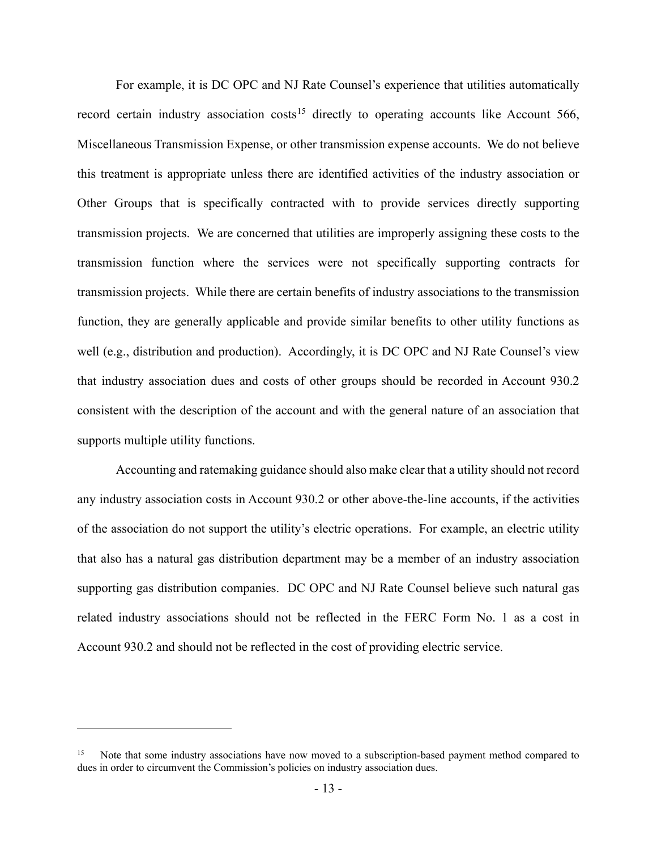For example, it is DC OPC and NJ Rate Counsel's experience that utilities automatically record certain industry association costs<sup>[15](#page-12-0)</sup> directly to operating accounts like Account 566, Miscellaneous Transmission Expense, or other transmission expense accounts. We do not believe this treatment is appropriate unless there are identified activities of the industry association or Other Groups that is specifically contracted with to provide services directly supporting transmission projects. We are concerned that utilities are improperly assigning these costs to the transmission function where the services were not specifically supporting contracts for transmission projects. While there are certain benefits of industry associations to the transmission function, they are generally applicable and provide similar benefits to other utility functions as well (e.g., distribution and production). Accordingly, it is DC OPC and NJ Rate Counsel's view that industry association dues and costs of other groups should be recorded in Account 930.2 consistent with the description of the account and with the general nature of an association that supports multiple utility functions.

Accounting and ratemaking guidance should also make clear that a utility should not record any industry association costs in Account 930.2 or other above-the-line accounts, if the activities of the association do not support the utility's electric operations. For example, an electric utility that also has a natural gas distribution department may be a member of an industry association supporting gas distribution companies. DC OPC and NJ Rate Counsel believe such natural gas related industry associations should not be reflected in the FERC Form No. 1 as a cost in Account 930.2 and should not be reflected in the cost of providing electric service.

<span id="page-12-0"></span>Note that some industry associations have now moved to a subscription-based payment method compared to dues in order to circumvent the Commission's policies on industry association dues.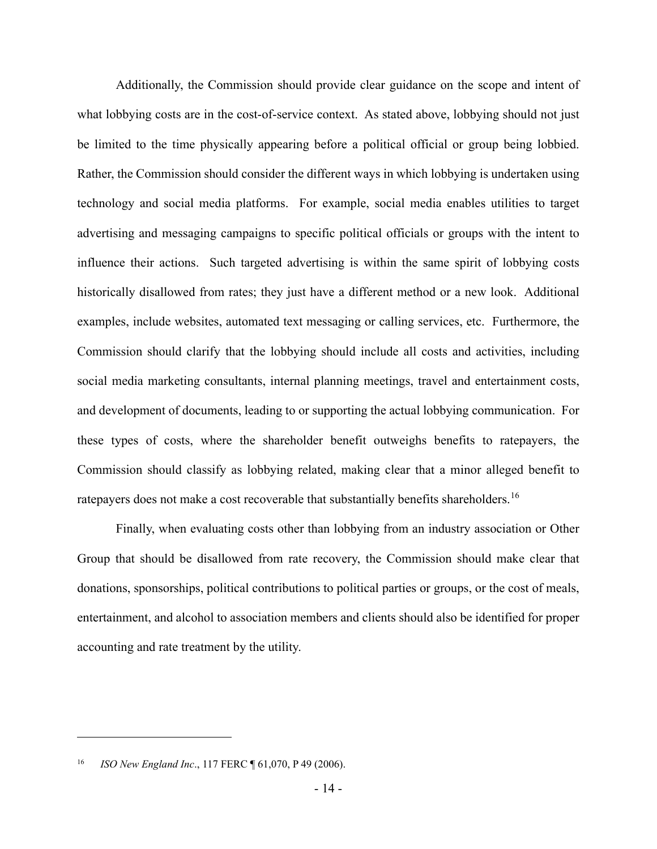Additionally, the Commission should provide clear guidance on the scope and intent of what lobbying costs are in the cost-of-service context. As stated above, lobbying should not just be limited to the time physically appearing before a political official or group being lobbied. Rather, the Commission should consider the different ways in which lobbying is undertaken using technology and social media platforms. For example, social media enables utilities to target advertising and messaging campaigns to specific political officials or groups with the intent to influence their actions. Such targeted advertising is within the same spirit of lobbying costs historically disallowed from rates; they just have a different method or a new look. Additional examples, include websites, automated text messaging or calling services, etc. Furthermore, the Commission should clarify that the lobbying should include all costs and activities, including social media marketing consultants, internal planning meetings, travel and entertainment costs, and development of documents, leading to or supporting the actual lobbying communication. For these types of costs, where the shareholder benefit outweighs benefits to ratepayers, the Commission should classify as lobbying related, making clear that a minor alleged benefit to ratepayers does not make a cost recoverable that substantially benefits shareholders.  $^{16}$  $^{16}$  $^{16}$ 

Finally, when evaluating costs other than lobbying from an industry association or Other Group that should be disallowed from rate recovery, the Commission should make clear that donations, sponsorships, political contributions to political parties or groups, or the cost of meals, entertainment, and alcohol to association members and clients should also be identified for proper accounting and rate treatment by the utility.

<span id="page-13-0"></span><sup>16</sup> *ISO New England Inc*., 117 FERC ¶ 61,070, P 49 (2006).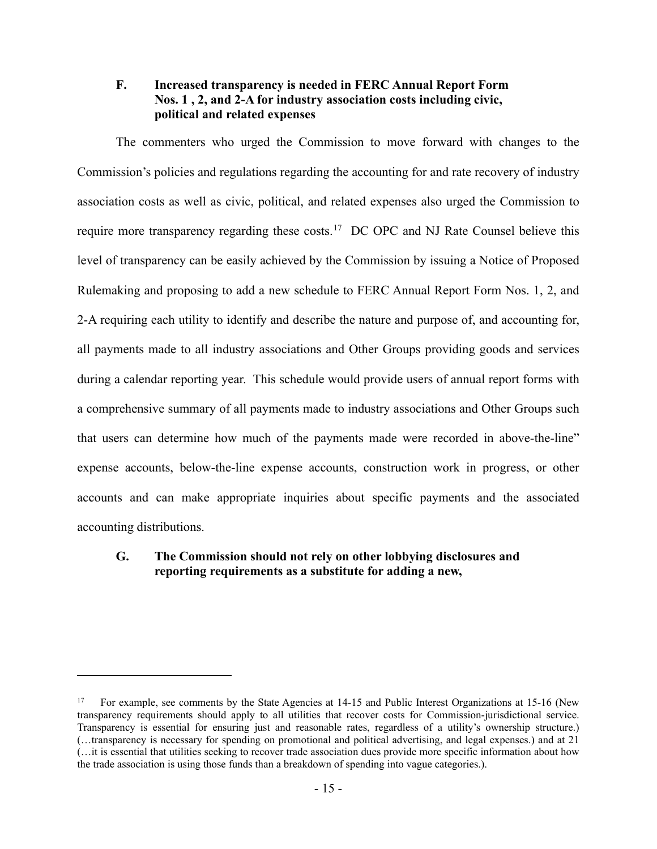# **F. Increased transparency is needed in FERC Annual Report Form Nos. 1 , 2, and 2-A for industry association costs including civic, political and related expenses**

The commenters who urged the Commission to move forward with changes to the Commission's policies and regulations regarding the accounting for and rate recovery of industry association costs as well as civic, political, and related expenses also urged the Commission to require more transparency regarding these costs.<sup>17</sup> DC OPC and NJ Rate Counsel believe this level of transparency can be easily achieved by the Commission by issuing a Notice of Proposed Rulemaking and proposing to add a new schedule to FERC Annual Report Form Nos. 1, 2, and 2-A requiring each utility to identify and describe the nature and purpose of, and accounting for, all payments made to all industry associations and Other Groups providing goods and services during a calendar reporting year. This schedule would provide users of annual report forms with a comprehensive summary of all payments made to industry associations and Other Groups such that users can determine how much of the payments made were recorded in above-the-line" expense accounts, below-the-line expense accounts, construction work in progress, or other accounts and can make appropriate inquiries about specific payments and the associated accounting distributions.

# **G. The Commission should not rely on other lobbying disclosures and reporting requirements as a substitute for adding a new,**

<span id="page-14-0"></span><sup>&</sup>lt;sup>17</sup> For example, see comments by the State Agencies at 14-15 and Public Interest Organizations at 15-16 (New transparency requirements should apply to all utilities that recover costs for Commission-jurisdictional service. Transparency is essential for ensuring just and reasonable rates, regardless of a utility's ownership structure.) (…transparency is necessary for spending on promotional and political advertising, and legal expenses.) and at 21 (…it is essential that utilities seeking to recover trade association dues provide more specific information about how the trade association is using those funds than a breakdown of spending into vague categories.).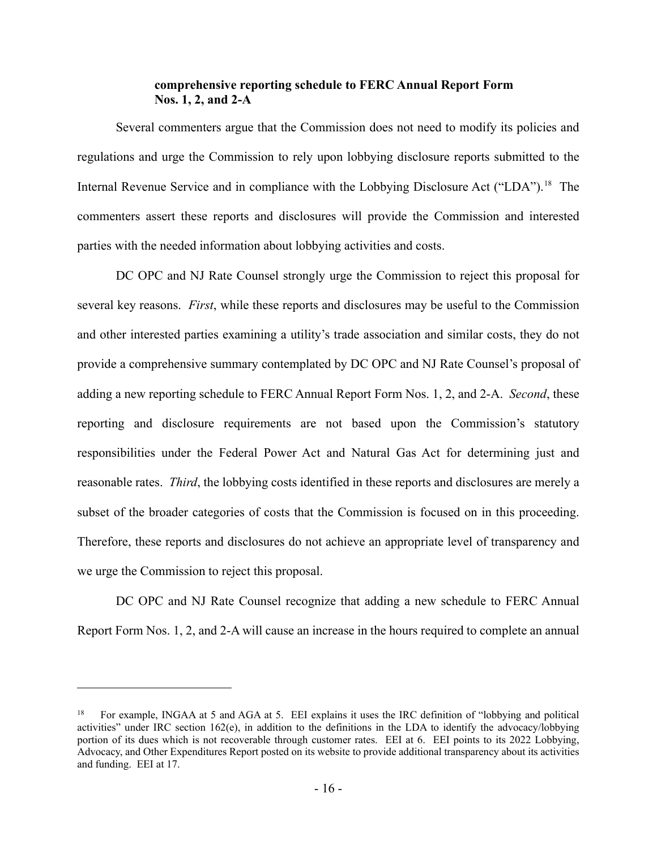## **comprehensive reporting schedule to FERC Annual Report Form Nos. 1, 2, and 2-A**

Several commenters argue that the Commission does not need to modify its policies and regulations and urge the Commission to rely upon lobbying disclosure reports submitted to the Internal Revenue Service and in compliance with the Lobbying Disclosure Act ("LDA").<sup>[18](#page-15-0)</sup> The commenters assert these reports and disclosures will provide the Commission and interested parties with the needed information about lobbying activities and costs.

DC OPC and NJ Rate Counsel strongly urge the Commission to reject this proposal for several key reasons. *First*, while these reports and disclosures may be useful to the Commission and other interested parties examining a utility's trade association and similar costs, they do not provide a comprehensive summary contemplated by DC OPC and NJ Rate Counsel's proposal of adding a new reporting schedule to FERC Annual Report Form Nos. 1, 2, and 2-A. *Second*, these reporting and disclosure requirements are not based upon the Commission's statutory responsibilities under the Federal Power Act and Natural Gas Act for determining just and reasonable rates. *Third*, the lobbying costs identified in these reports and disclosures are merely a subset of the broader categories of costs that the Commission is focused on in this proceeding. Therefore, these reports and disclosures do not achieve an appropriate level of transparency and we urge the Commission to reject this proposal.

DC OPC and NJ Rate Counsel recognize that adding a new schedule to FERC Annual Report Form Nos. 1, 2, and 2-A will cause an increase in the hours required to complete an annual

<span id="page-15-0"></span><sup>18</sup> For example, INGAA at 5 and AGA at 5. EEI explains it uses the IRC definition of "lobbying and political activities" under IRC section 162(e), in addition to the definitions in the LDA to identify the advocacy/lobbying portion of its dues which is not recoverable through customer rates. EEI at 6. EEI points to its 2022 Lobbying, Advocacy, and Other Expenditures Report posted on its website to provide additional transparency about its activities and funding. EEI at 17.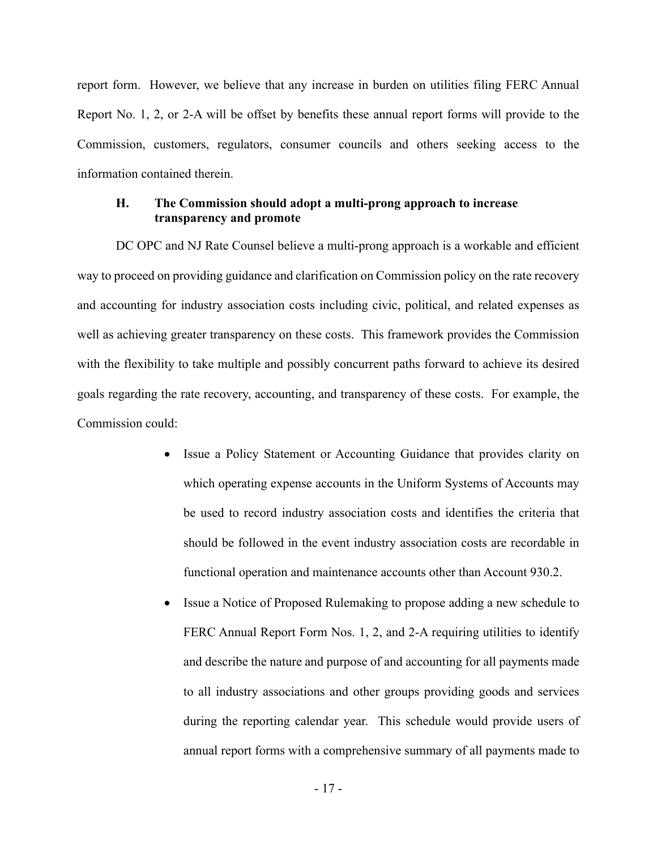report form. However, we believe that any increase in burden on utilities filing FERC Annual Report No. 1, 2, or 2-A will be offset by benefits these annual report forms will provide to the Commission, customers, regulators, consumer councils and others seeking access to the information contained therein.

# **H. The Commission should adopt a multi-prong approach to increase transparency and promote**

DC OPC and NJ Rate Counsel believe a multi-prong approach is a workable and efficient way to proceed on providing guidance and clarification on Commission policy on the rate recovery and accounting for industry association costs including civic, political, and related expenses as well as achieving greater transparency on these costs. This framework provides the Commission with the flexibility to take multiple and possibly concurrent paths forward to achieve its desired goals regarding the rate recovery, accounting, and transparency of these costs. For example, the Commission could:

- Issue a Policy Statement or Accounting Guidance that provides clarity on which operating expense accounts in the Uniform Systems of Accounts may be used to record industry association costs and identifies the criteria that should be followed in the event industry association costs are recordable in functional operation and maintenance accounts other than Account 930.2.
- Issue a Notice of Proposed Rulemaking to propose adding a new schedule to FERC Annual Report Form Nos. 1, 2, and 2-A requiring utilities to identify and describe the nature and purpose of and accounting for all payments made to all industry associations and other groups providing goods and services during the reporting calendar year. This schedule would provide users of annual report forms with a comprehensive summary of all payments made to

- 17 -